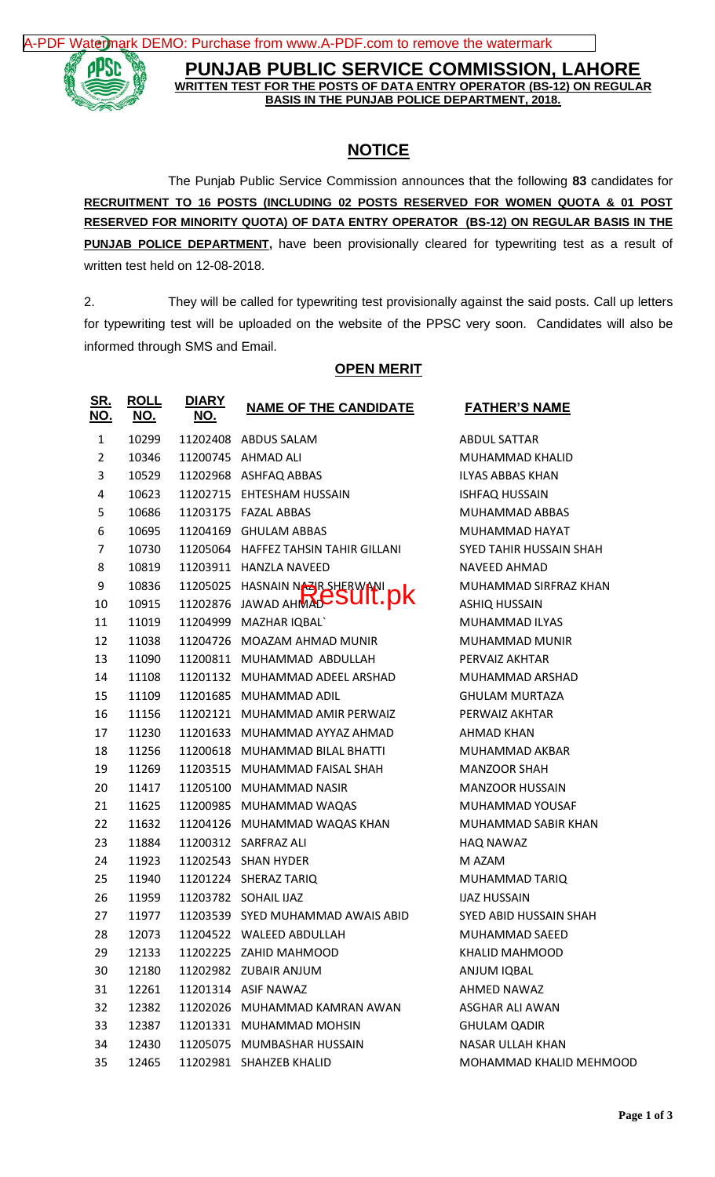[A-PDF Watermark DEMO: Purchase from www.A-PDF.com to remove the watermark](http://www.a-pdf.com/?wm-demo)



**PUNJAB PUBLIC SERVICE COMMISSION, LAHORE WRITTEN TEST FOR THE POSTS OF DATA ENTRY OPERATOR (BS-12) ON REGULAR BASIS IN THE PUNJAB POLICE DEPARTMENT, 2018.**

## **NOTICE**

The Punjab Public Service Commission announces that the following **83** candidates for **RECRUITMENT TO 16 POSTS (INCLUDING 02 POSTS RESERVED FOR WOMEN QUOTA & 01 POST RESERVED FOR MINORITY QUOTA) OF DATA ENTRY OPERATOR (BS-12) ON REGULAR BASIS IN THE PUNJAB POLICE DEPARTMENT,** have been provisionally cleared for typewriting test as a result of written test held on 12-08-2018.

2. They will be called for typewriting test provisionally against the said posts. Call up letters for typewriting test will be uploaded on the website of the PPSC very soon. Candidates will also be informed through SMS and Email.

## **OPEN MERIT**

| <b>SR.</b><br><u>NO.</u> | <b>ROLL</b><br><u>NO.</u> | <b>DIARY</b><br><u>NO.</u> | <b>NAME OF THE CANDIDATE</b>         | <b>FATHER'S NAME</b>           |
|--------------------------|---------------------------|----------------------------|--------------------------------------|--------------------------------|
| $\mathbf{1}$             | 10299                     |                            | 11202408 ABDUS SALAM                 | <b>ABDUL SATTAR</b>            |
| $\overline{2}$           | 10346                     |                            | 11200745 AHMAD ALI                   | MUHAMMAD KHALID                |
| 3                        | 10529                     |                            | 11202968 ASHFAQ ABBAS                | <b>ILYAS ABBAS KHAN</b>        |
| 4                        | 10623                     |                            | 11202715 EHTESHAM HUSSAIN            | <b>ISHFAQ HUSSAIN</b>          |
| 5                        | 10686                     |                            | 11203175 FAZAL ABBAS                 | MUHAMMAD ABBAS                 |
| 6                        | 10695                     |                            | 11204169 GHULAM ABBAS                | MUHAMMAD HAYAT                 |
| 7                        | 10730                     |                            | 11205064 HAFFEZ TAHSIN TAHIR GILLANI | <b>SYED TAHIR HUSSAIN SHAH</b> |
| 8                        | 10819                     | 11203911                   | <b>HANZLA NAVEED</b>                 | NAVEED AHMAD                   |
| 9                        | 10836                     | 11205025                   | HASNAIN NASR SHERWANI                | MUHAMMAD SIRFRAZ KHAN          |
| 10                       | 10915                     | 11202876                   | <b>JAWAD AHMACSUIT. DK</b>           | <b>ASHIQ HUSSAIN</b>           |
| 11                       | 11019                     | 11204999                   | <b>MAZHAR IQBAL</b>                  | MUHAMMAD ILYAS                 |
| 12                       | 11038                     |                            | 11204726 MOAZAM AHMAD MUNIR          | <b>MUHAMMAD MUNIR</b>          |
| 13                       | 11090                     | 11200811                   | MUHAMMAD ABDULLAH                    | PERVAIZ AKHTAR                 |
| 14                       | 11108                     |                            | 11201132 MUHAMMAD ADEEL ARSHAD       | MUHAMMAD ARSHAD                |
| 15                       | 11109                     |                            | 11201685 MUHAMMAD ADIL               | <b>GHULAM MURTAZA</b>          |
| 16                       | 11156                     | 11202121                   | MUHAMMAD AMIR PERWAIZ                | PERWAIZ AKHTAR                 |
| 17                       | 11230                     |                            | 11201633 MUHAMMAD AYYAZ AHMAD        | AHMAD KHAN                     |
| 18                       | 11256                     |                            | 11200618 MUHAMMAD BILAL BHATTI       | MUHAMMAD AKBAR                 |
| 19                       | 11269                     |                            | 11203515 MUHAMMAD FAISAL SHAH        | <b>MANZOOR SHAH</b>            |
| 20                       | 11417                     |                            | 11205100 MUHAMMAD NASIR              | <b>MANZOOR HUSSAIN</b>         |
| 21                       | 11625                     |                            | 11200985 MUHAMMAD WAQAS              | MUHAMMAD YOUSAF                |
| 22                       | 11632                     |                            | 11204126 MUHAMMAD WAQAS KHAN         | MUHAMMAD SABIR KHAN            |
| 23                       | 11884                     |                            | 11200312 SARFRAZ ALI                 | <b>HAQ NAWAZ</b>               |
| 24                       | 11923                     |                            | 11202543 SHAN HYDER                  | M AZAM                         |
| 25                       | 11940                     |                            | 11201224 SHERAZ TARIQ                | MUHAMMAD TARIQ                 |
| 26                       | 11959                     |                            | 11203782 SOHAIL IJAZ                 | <b>IJAZ HUSSAIN</b>            |
| 27                       | 11977                     |                            | 11203539 SYED MUHAMMAD AWAIS ABID    | SYED ABID HUSSAIN SHAH         |
| 28                       | 12073                     |                            | 11204522 WALEED ABDULLAH             | MUHAMMAD SAEED                 |
| 29                       | 12133                     |                            | 11202225 ZAHID MAHMOOD               | KHALID MAHMOOD                 |
| 30                       | 12180                     |                            | 11202982 ZUBAIR ANJUM                | ANJUM IQBAL                    |
| 31                       | 12261                     |                            | 11201314 ASIF NAWAZ                  | AHMED NAWAZ                    |
| 32                       | 12382                     |                            | 11202026 MUHAMMAD KAMRAN AWAN        | ASGHAR ALI AWAN                |
| 33                       | 12387                     |                            | 11201331 MUHAMMAD MOHSIN             | <b>GHULAM QADIR</b>            |
| 34                       | 12430                     |                            | 11205075 MUMBASHAR HUSSAIN           | <b>NASAR ULLAH KHAN</b>        |
| 35                       | 12465                     |                            | 11202981 SHAHZEB KHALID              | MOHAMMAD KHALID MEHMOOD        |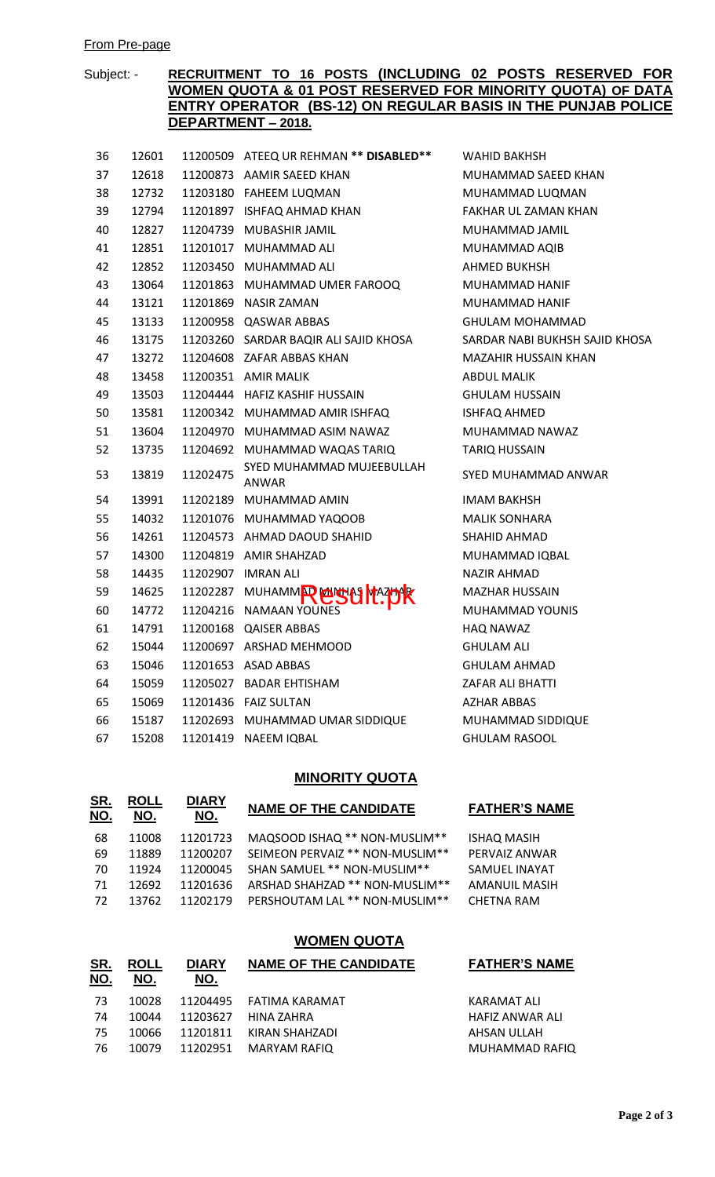#### From Pre-page

## Subject: - **RECRUITMENT TO 16 POSTS (INCLUDING 02 POSTS RESERVED FOR WOMEN QUOTA & 01 POST RESERVED FOR MINORITY QUOTA) OF DATA ENTRY OPERATOR (BS-12) ON REGULAR BASIS IN THE PUNJAB POLICE DEPARTMENT – 2018.**

**WAHID BAKHSH** 

MUHAMMAD SAEED KHAN 38 12732 11203180 FAHEEM LUQMAN MUHAMMAD LUQMAN FAKHAR UL ZAMAN KHAN 40 12827 11204739 MUBASHIR JAMIL MUHAMMAD JAMIL MUHAMMAD AQIB AHMED BUKHSH MUHAMMAD HANIF MUHAMMAD HANIF **GHULAM MOHAMMAD** 

SARDAR NABI BUKHSH SAJID KHOSA

MAZAHIR HUSSAIN KHAN

MUHAMMAD NAWAZ

SYED MUHAMMAD ANWAR

**ABDUL MALIK GHULAM HUSSAIN** ISHFAQ AHMED

**TARIQ HUSSAIN** 

**IMAM BAKHSH MALIK SONHARA** SHAHID AHMAD MUHAMMAD IQBAL NAZIR AHMAD MAZHAR HUSSAIN MUHAMMAD YOUNIS

HAQ NAWAZ **GHULAM ALI GHULAM AHMAD ZAFAR ALI BHATTI** AZHAR ABBAS

MUHAMMAD SIDDIQUE

**GHULAM RASOOL** 

| 36 | 12601 | 11200509 | ATEEQ UR REHMAN ** DISABLED**             |
|----|-------|----------|-------------------------------------------|
| 37 | 12618 |          | 11200873 AAMIR SAEED KHAN                 |
| 38 | 12732 |          | 11203180 FAHEEM LUQMAN                    |
| 39 | 12794 |          | 11201897 ISHFAQ AHMAD KHAN                |
| 40 | 12827 | 11204739 | MUBASHIR JAMIL                            |
| 41 | 12851 | 11201017 | MUHAMMAD ALI                              |
| 42 | 12852 | 11203450 | MUHAMMAD ALI                              |
| 43 | 13064 | 11201863 | MUHAMMAD UMER FAROOQ                      |
| 44 | 13121 |          | 11201869 NASIR ZAMAN                      |
| 45 | 13133 |          | 11200958 QASWAR ABBAS                     |
| 46 | 13175 |          | 11203260 SARDAR BAQIR ALI SAJID KHOSA     |
| 47 | 13272 | 11204608 | ZAFAR ABBAS KHAN                          |
| 48 | 13458 |          | 11200351 AMIR MALIK                       |
| 49 | 13503 |          | 11204444 HAFIZ KASHIF HUSSAIN             |
| 50 | 13581 | 11200342 | MUHAMMAD AMIR ISHFAQ                      |
| 51 | 13604 |          | 11204970 MUHAMMAD ASIM NAWAZ              |
| 52 | 13735 |          | 11204692 MUHAMMAD WAQAS TARIQ             |
| 53 | 13819 | 11202475 | SYED MUHAMMAD MUJEEBULLAH<br><b>ANWAR</b> |
| 54 | 13991 |          | 11202189 MUHAMMAD AMIN                    |
| 55 | 14032 |          | 11201076 MUHAMMAD YAQOOB                  |
| 56 | 14261 |          | 11204573 AHMAD DAOUD SHAHID               |
| 57 | 14300 |          | 11204819 AMIR SHAHZAD                     |
| 58 | 14435 | 11202907 | <b>IMRAN ALI</b>                          |
| 59 | 14625 | 11202287 | <b>MUHAMMR USU MAZDR</b>                  |
| 60 | 14772 | 11204216 | NAMAAN YOUNES                             |
| 61 | 14791 | 11200168 | <b>QAISER ABBAS</b>                       |
| 62 | 15044 | 11200697 | <b>ARSHAD MEHMOOD</b>                     |
| 63 | 15046 | 11201653 | ASAD ABBAS                                |
| 64 | 15059 | 11205027 | BADAR EHTISHAM                            |
| 65 | 15069 |          | 11201436 FAIZ SULTAN                      |
| 66 | 15187 |          | 11202693 MUHAMMAD UMAR SIDDIQUE           |
| 67 | 15208 | 11201419 | <b>NAEEM IQBAL</b>                        |

## **MINORITY QUOTA**

| <u>SR.</u><br><u>NO.</u> | <b>ROLL</b><br>NO. | <b>DIARY</b><br>NO. | <b>NAME OF THE CANDIDATE</b>     | <b>FATHER'S NAME</b> |
|--------------------------|--------------------|---------------------|----------------------------------|----------------------|
| 68                       | 11008              | 11201723            | MAQSOOD ISHAQ ** NON-MUSLIM**    | <b>ISHAQ MASIH</b>   |
| 69                       | 11889              | 11200207            | SEIMEON PERVAIZ ** NON-MUSLIM ** | PFRVAIZ ANWAR        |
| 70                       | 11924              | 11200045            | SHAN SAMUEL ** NON-MUSLIM**      | SAMUEL INAYAT        |
| 71                       | 12692              | 11201636            | ARSHAD SHAHZAD ** NON-MUSLIM **  | <b>AMANUIL MASIH</b> |
| 72                       | 13762              | 11202179            | PERSHOUTAM LAL ** NON-MUSLIM **  | CHFTNA RAM           |
|                          |                    |                     |                                  |                      |

## **WOMEN QUOTA**

| <u>SR.</u><br><u>NO.</u> | <b>ROLL</b><br>NO. | <b>DIARY</b><br>NO. | <b>NAME OF THE CANDIDATE</b> | <b>FATHER'S NAME</b> |
|--------------------------|--------------------|---------------------|------------------------------|----------------------|
|                          |                    |                     |                              |                      |
| -73                      | 10028              |                     | 11204495 FATIMA KARAMAT      | KARAMAT ALI          |
| 74                       | 10044              | 11203627            | HINA ZAHRA                   | HAFIZ ANWAR ALI      |
| -75                      | 10066              | 11201811            | KIRAN SHAHZADI               | AHSAN ULLAH          |
| -76                      | 10079              |                     | 11202951 MARYAM RAFIO        | MUHAMMAD RAFIQ       |
|                          |                    |                     |                              |                      |